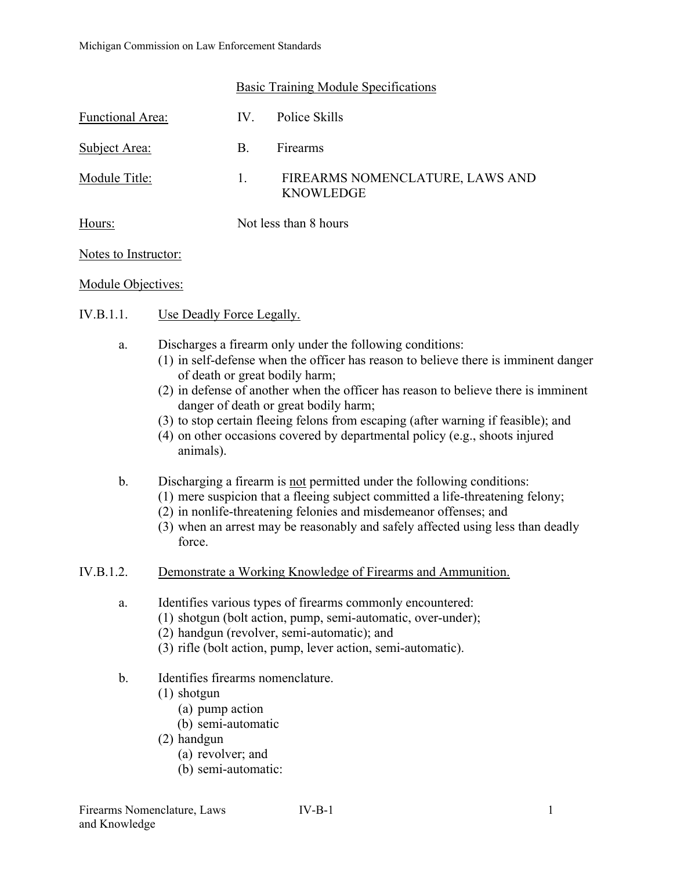|                  | <b>Basic Training Module Specifications</b> |                                                     |
|------------------|---------------------------------------------|-----------------------------------------------------|
| Functional Area: | IV.                                         | Police Skills                                       |
| Subject Area:    | В.                                          | Firearms                                            |
| Module Title:    | 1.                                          | FIREARMS NOMENCLATURE, LAWS AND<br><b>KNOWLEDGE</b> |
| Hours:           | Not less than 8 hours                       |                                                     |

#### Notes to Instructor:

#### Module Objectives:

- IV.B.1.1. Use Deadly Force Legally.
	- a. Discharges a firearm only under the following conditions:
		- (1) in self-defense when the officer has reason to believe there is imminent danger of death or great bodily harm;
		- (2) in defense of another when the officer has reason to believe there is imminent danger of death or great bodily harm;
		- (3) to stop certain fleeing felons from escaping (after warning if feasible); and
		- (4) on other occasions covered by departmental policy (e.g., shoots injured animals).
	- b. Discharging a firearm is not permitted under the following conditions:
		- (1) mere suspicion that a fleeing subject committed a life-threatening felony;
		- (2) in nonlife-threatening felonies and misdemeanor offenses; and
		- (3) when an arrest may be reasonably and safely affected using less than deadly force.
- IV.B.1.2. Demonstrate a Working Knowledge of Firearms and Ammunition.
	- a. Identifies various types of firearms commonly encountered:
		- (1) shotgun (bolt action, pump, semi-automatic, over-under);
		- (2) handgun (revolver, semi-automatic); and
		- (3) rifle (bolt action, pump, lever action, semi-automatic).
	- b. Identifies firearms nomenclature.
		- (1) shotgun
			- (a) pump action
			- (b) semi-automatic
		- (2) handgun
			- (a) revolver; and
			- (b) semi-automatic: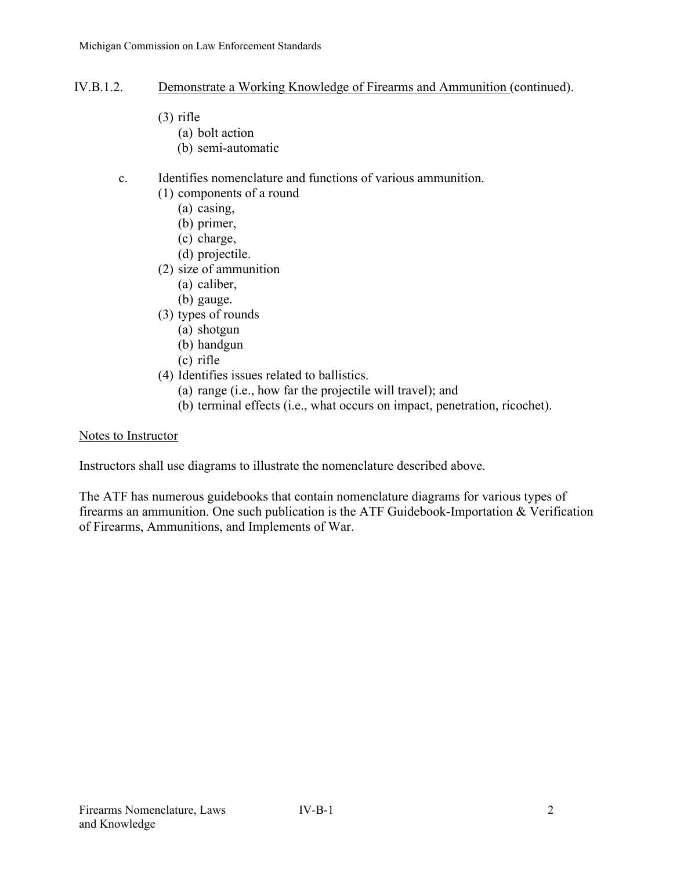## IV.B.1.2. Demonstrate a Working Knowledge of Firearms and Ammunition (continued).

- (3) rifle
	- (a) bolt action
	- (b) semi-automatic

# c. Identifies nomenclature and functions of various ammunition.

- (1) components of a round
	- (a) casing,
	- (b) primer,
	- (c) charge,
	- (d) projectile.
- (2) size of ammunition
	- (a) caliber,
	- (b) gauge.
- (3) types of rounds
	- (a) shotgun
	- (b) handgun
	- (c) rifle
- (4) Identifies issues related to ballistics.
	- (a) range (i.e., how far the projectile will travel); and
	- (b) terminal effects (i.e., what occurs on impact, penetration, ricochet).

#### Notes to Instructor

Instructors shall use diagrams to illustrate the nomenclature described above.

The ATF has numerous guidebooks that contain nomenclature diagrams for various types of firearms an ammunition. One such publication is the ATF Guidebook-Importation & Verification of Firearms, Ammunitions, and Implements of War.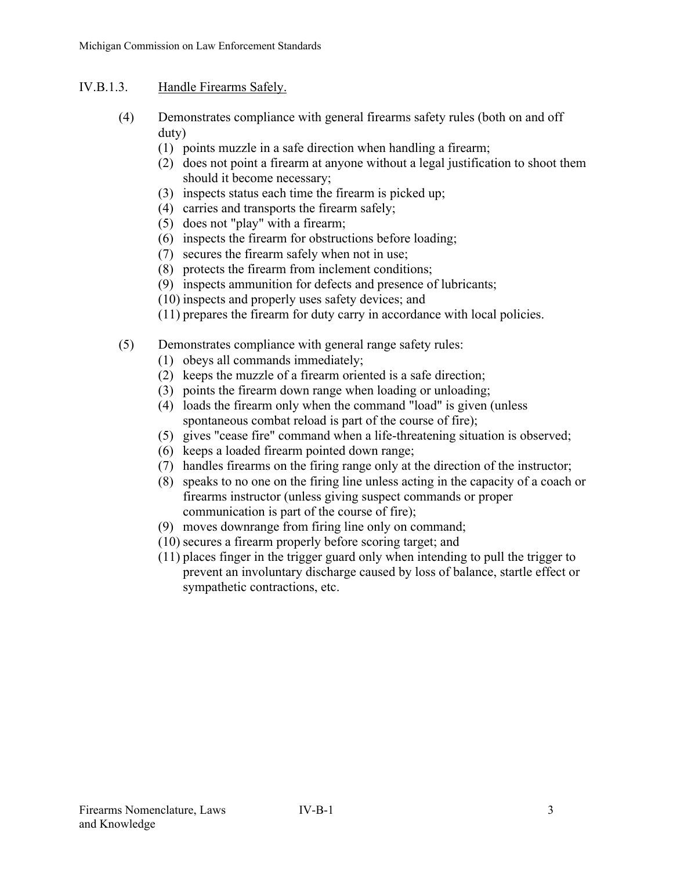# IV.B.1.3. Handle Firearms Safely.

- (4) Demonstrates compliance with general firearms safety rules (both on and off duty)
	- (1) points muzzle in a safe direction when handling a firearm;
	- (2) does not point a firearm at anyone without a legal justification to shoot them should it become necessary;
	- (3) inspects status each time the firearm is picked up;
	- (4) carries and transports the firearm safely;
	- (5) does not "play" with a firearm;
	- (6) inspects the firearm for obstructions before loading;
	- (7) secures the firearm safely when not in use;
	- (8) protects the firearm from inclement conditions;
	- (9) inspects ammunition for defects and presence of lubricants;
	- (10) inspects and properly uses safety devices; and
	- (11) prepares the firearm for duty carry in accordance with local policies.
- (5) Demonstrates compliance with general range safety rules:
	- (1) obeys all commands immediately;
	- (2) keeps the muzzle of a firearm oriented is a safe direction;
	- (3) points the firearm down range when loading or unloading;
	- (4) loads the firearm only when the command "load" is given (unless spontaneous combat reload is part of the course of fire);
	- (5) gives "cease fire" command when a life-threatening situation is observed;
	- (6) keeps a loaded firearm pointed down range;
	- (7) handles firearms on the firing range only at the direction of the instructor;
	- (8) speaks to no one on the firing line unless acting in the capacity of a coach or firearms instructor (unless giving suspect commands or proper communication is part of the course of fire);
	- (9) moves downrange from firing line only on command;
	- (10) secures a firearm properly before scoring target; and
	- (11) places finger in the trigger guard only when intending to pull the trigger to prevent an involuntary discharge caused by loss of balance, startle effect or sympathetic contractions, etc.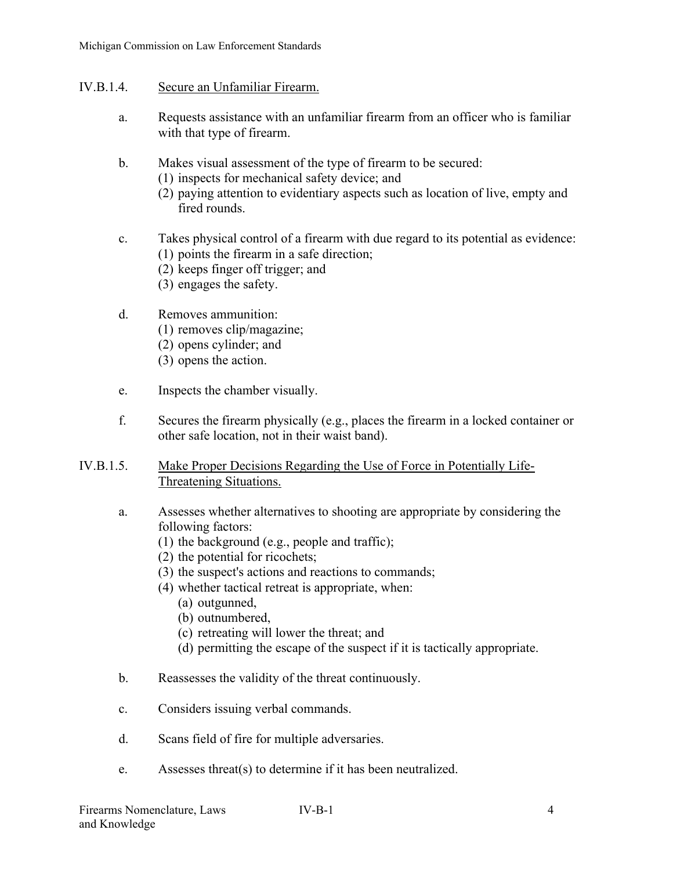- IV.B.1.4. Secure an Unfamiliar Firearm.
	- a. Requests assistance with an unfamiliar firearm from an officer who is familiar with that type of firearm.
	- b. Makes visual assessment of the type of firearm to be secured:
		- (1) inspects for mechanical safety device; and
		- (2) paying attention to evidentiary aspects such as location of live, empty and fired rounds.
	- c. Takes physical control of a firearm with due regard to its potential as evidence: (1) points the firearm in a safe direction;
		- (2) keeps finger off trigger; and
		- (3) engages the safety.
	- d. Removes ammunition:
		- (1) removes clip/magazine;
		- (2) opens cylinder; and
		- (3) opens the action.
	- e. Inspects the chamber visually.
	- f. Secures the firearm physically (e.g., places the firearm in a locked container or other safe location, not in their waist band).
- IV.B.1.5. Make Proper Decisions Regarding the Use of Force in Potentially Life-Threatening Situations.
	- a. Assesses whether alternatives to shooting are appropriate by considering the following factors:
		- (1) the background (e.g., people and traffic);
		- (2) the potential for ricochets;
		- (3) the suspect's actions and reactions to commands;
		- (4) whether tactical retreat is appropriate, when:
			- (a) outgunned,
			- (b) outnumbered,
			- (c) retreating will lower the threat; and
			- (d) permitting the escape of the suspect if it is tactically appropriate.
	- b. Reassesses the validity of the threat continuously.
	- c. Considers issuing verbal commands.
	- d. Scans field of fire for multiple adversaries.
	- e. Assesses threat(s) to determine if it has been neutralized.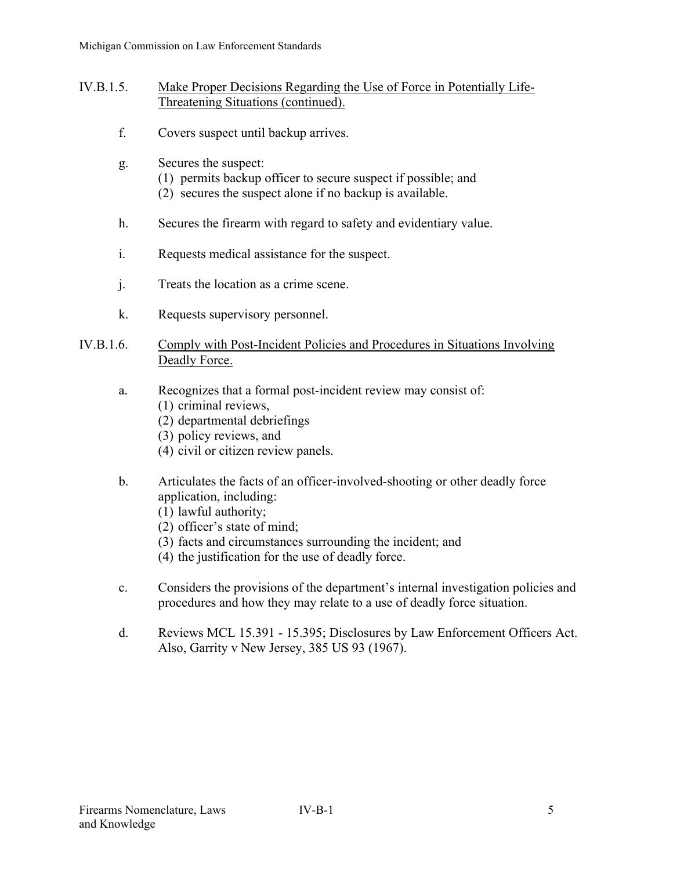- IV.B.1.5. Make Proper Decisions Regarding the Use of Force in Potentially Life-Threatening Situations (continued).
	- f. Covers suspect until backup arrives.
	- g. Secures the suspect:
		- (1) permits backup officer to secure suspect if possible; and
		- (2) secures the suspect alone if no backup is available.
	- h. Secures the firearm with regard to safety and evidentiary value.
	- i. Requests medical assistance for the suspect.
	- j. Treats the location as a crime scene.
	- k. Requests supervisory personnel.

#### IV.B.1.6. Comply with Post-Incident Policies and Procedures in Situations Involving Deadly Force.

- a. Recognizes that a formal post-incident review may consist of:
	- (1) criminal reviews,
	- (2) departmental debriefings
	- (3) policy reviews, and
	- (4) civil or citizen review panels.
- b. Articulates the facts of an officer-involved-shooting or other deadly force application, including:
	- (1) lawful authority;
	- (2) officer's state of mind;
	- (3) facts and circumstances surrounding the incident; and
	- (4) the justification for the use of deadly force.
- c. Considers the provisions of the department's internal investigation policies and procedures and how they may relate to a use of deadly force situation.
- d. Reviews MCL 15.391 15.395; Disclosures by Law Enforcement Officers Act. Also, Garrity v New Jersey, 385 US 93 (1967).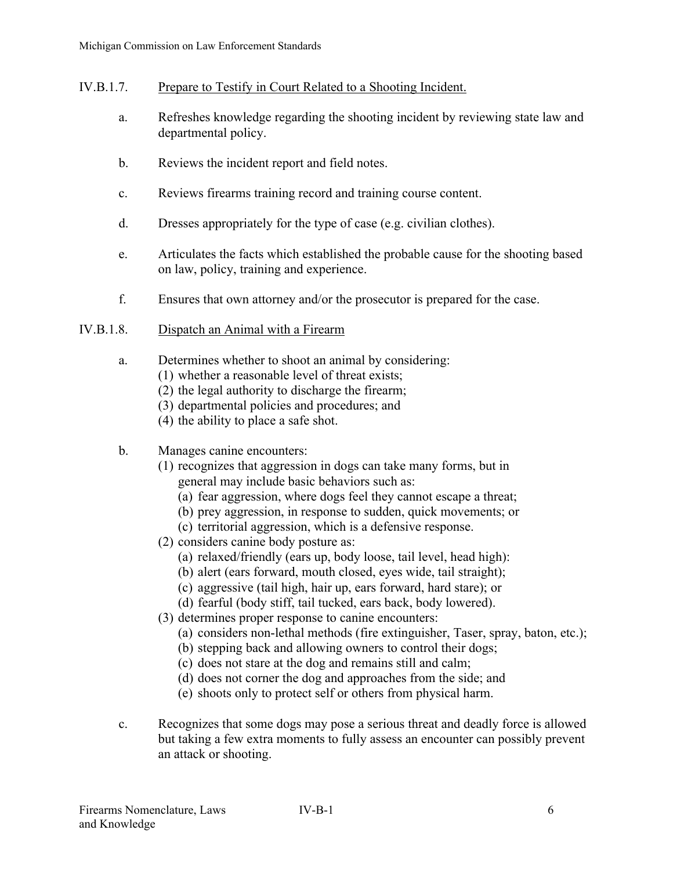## IV.B.1.7. Prepare to Testify in Court Related to a Shooting Incident.

- a. Refreshes knowledge regarding the shooting incident by reviewing state law and departmental policy.
- b. Reviews the incident report and field notes.
- c. Reviews firearms training record and training course content.
- d. Dresses appropriately for the type of case (e.g. civilian clothes).
- e. Articulates the facts which established the probable cause for the shooting based on law, policy, training and experience.
- f. Ensures that own attorney and/or the prosecutor is prepared for the case.

## IV.B.1.8. Dispatch an Animal with a Firearm

- a. Determines whether to shoot an animal by considering:
	- (1) whether a reasonable level of threat exists;
	- (2) the legal authority to discharge the firearm;
	- (3) departmental policies and procedures; and
	- (4) the ability to place a safe shot.
- b. Manages canine encounters:
	- (1) recognizes that aggression in dogs can take many forms, but in general may include basic behaviors such as:
		- (a) fear aggression, where dogs feel they cannot escape a threat;
		- (b) prey aggression, in response to sudden, quick movements; or
		- (c) territorial aggression, which is a defensive response.
	- (2) considers canine body posture as:
		- (a) relaxed/friendly (ears up, body loose, tail level, head high):
		- (b) alert (ears forward, mouth closed, eyes wide, tail straight);
		- (c) aggressive (tail high, hair up, ears forward, hard stare); or
		- (d) fearful (body stiff, tail tucked, ears back, body lowered).
	- (3) determines proper response to canine encounters:
		- (a) considers non-lethal methods (fire extinguisher, Taser, spray, baton, etc.);
		- (b) stepping back and allowing owners to control their dogs;
		- (c) does not stare at the dog and remains still and calm;
		- (d) does not corner the dog and approaches from the side; and
		- (e) shoots only to protect self or others from physical harm.
- c. Recognizes that some dogs may pose a serious threat and deadly force is allowed but taking a few extra moments to fully assess an encounter can possibly prevent an attack or shooting.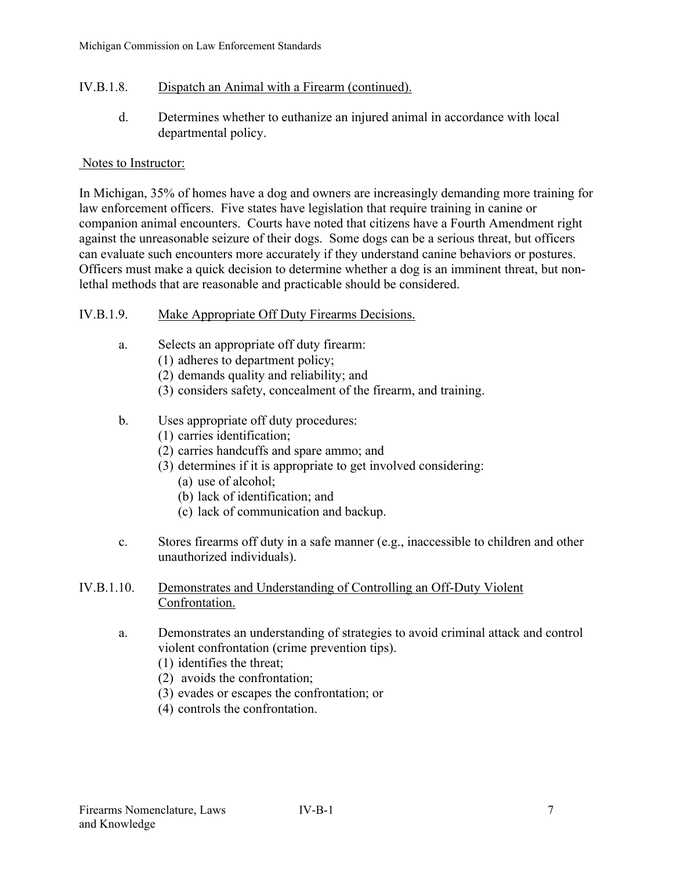# IV.B.1.8. Dispatch an Animal with a Firearm (continued).

d. Determines whether to euthanize an injured animal in accordance with local departmental policy.

#### Notes to Instructor:

In Michigan, 35% of homes have a dog and owners are increasingly demanding more training for law enforcement officers. Five states have legislation that require training in canine or companion animal encounters. Courts have noted that citizens have a Fourth Amendment right against the unreasonable seizure of their dogs. Some dogs can be a serious threat, but officers can evaluate such encounters more accurately if they understand canine behaviors or postures. Officers must make a quick decision to determine whether a dog is an imminent threat, but nonlethal methods that are reasonable and practicable should be considered.

## IV.B.1.9. Make Appropriate Off Duty Firearms Decisions.

- a. Selects an appropriate off duty firearm:
	- (1) adheres to department policy;
	- (2) demands quality and reliability; and
	- (3) considers safety, concealment of the firearm, and training.
- b. Uses appropriate off duty procedures:
	- (1) carries identification;
	- (2) carries handcuffs and spare ammo; and
	- (3) determines if it is appropriate to get involved considering:
		- (a) use of alcohol;
		- (b) lack of identification; and
		- (c) lack of communication and backup.
- c. Stores firearms off duty in a safe manner (e.g., inaccessible to children and other unauthorized individuals).

## IV.B.1.10. Demonstrates and Understanding of Controlling an Off-Duty Violent Confrontation.

- a. Demonstrates an understanding of strategies to avoid criminal attack and control violent confrontation (crime prevention tips).
	- (1) identifies the threat;
	- (2) avoids the confrontation;
	- (3) evades or escapes the confrontation; or
	- (4) controls the confrontation.